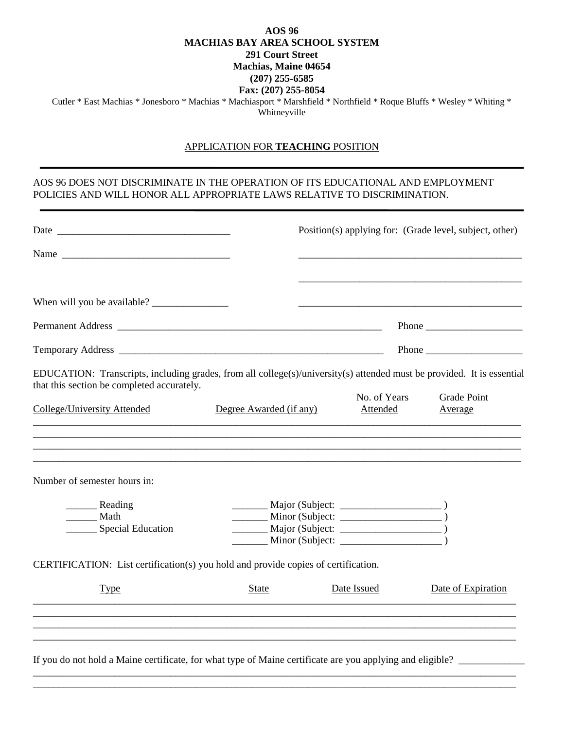## **AOS 96 MACHIAS BAY AREA SCHOOL SYSTEM 291 Court Street Machias, Maine 04654 (207) 255-6585 Fax: (207) 255-8054**

Cutler \* East Machias \* Jonesboro \* Machias \* Machiasport \* Marshfield \* Northfield \* Roque Bluffs \* Wesley \* Whiting \* Whitneyville

## APPLICATION FOR **TEACHING** POSITION

## AOS 96 DOES NOT DISCRIMINATE IN THE OPERATION OF ITS EDUCATIONAL AND EMPLOYMENT POLICIES AND WILL HONOR ALL APPROPRIATE LAWS RELATIVE TO DISCRIMINATION.

| No. of Years<br>Attended<br><u> 1989 - Johann Stoff, amerikansk politiker (d. 1989)</u><br>,我们也不能在这里的人,我们也不能在这里的人,我们也不能在这里的人,我们也不能在这里的人,我们也不能在这里的人,我们也不能在这里的人,我们也不能在这里的人,我们也 | EDUCATION: Transcripts, including grades, from all college(s)/university(s) attended must be provided. It is essential<br><b>Grade Point</b><br>Average                                                                                                                   |
|------------------------------------------------------------------------------------------------------------------------------------------------------------------------------|---------------------------------------------------------------------------------------------------------------------------------------------------------------------------------------------------------------------------------------------------------------------------|
|                                                                                                                                                                              |                                                                                                                                                                                                                                                                           |
|                                                                                                                                                                              |                                                                                                                                                                                                                                                                           |
|                                                                                                                                                                              |                                                                                                                                                                                                                                                                           |
|                                                                                                                                                                              |                                                                                                                                                                                                                                                                           |
|                                                                                                                                                                              |                                                                                                                                                                                                                                                                           |
|                                                                                                                                                                              |                                                                                                                                                                                                                                                                           |
|                                                                                                                                                                              |                                                                                                                                                                                                                                                                           |
| $\frac{M}{\text{Major (Subject: }}$                                                                                                                                          |                                                                                                                                                                                                                                                                           |
|                                                                                                                                                                              |                                                                                                                                                                                                                                                                           |
|                                                                                                                                                                              |                                                                                                                                                                                                                                                                           |
| $\frac{1}{\sqrt{1-\frac{1}{2}}}\text{Minor (Subject: } \frac{1}{\sqrt{1-\frac{1}{2}}}\text{ )}$                                                                              |                                                                                                                                                                                                                                                                           |
|                                                                                                                                                                              |                                                                                                                                                                                                                                                                           |
|                                                                                                                                                                              | Date of Expiration                                                                                                                                                                                                                                                        |
|                                                                                                                                                                              |                                                                                                                                                                                                                                                                           |
|                                                                                                                                                                              |                                                                                                                                                                                                                                                                           |
|                                                                                                                                                                              |                                                                                                                                                                                                                                                                           |
|                                                                                                                                                                              | CERTIFICATION: List certification(s) you hold and provide copies of certification.<br>Date Issued<br>,我们就会在这里的人,我们就会在这里的人,我们就会在这里的人,我们就会在这里的人,我们就会在这里的人,我们就会在这里的人,我们就会在这里的人,我们就会在这里,我<br>第251章 我们的人,我们就会在这里的人,我们就会在这里的人,我们就会在这里的人,我们就会在这里的人,我们就会在这里的人,我们就会在这里的人,我们就会在这里,我 |

\_\_\_\_\_\_\_\_\_\_\_\_\_\_\_\_\_\_\_\_\_\_\_\_\_\_\_\_\_\_\_\_\_\_\_\_\_\_\_\_\_\_\_\_\_\_\_\_\_\_\_\_\_\_\_\_\_\_\_\_\_\_\_\_\_\_\_\_\_\_\_\_\_\_\_\_\_\_\_\_\_\_\_\_\_\_\_\_\_\_\_\_\_\_\_ \_\_\_\_\_\_\_\_\_\_\_\_\_\_\_\_\_\_\_\_\_\_\_\_\_\_\_\_\_\_\_\_\_\_\_\_\_\_\_\_\_\_\_\_\_\_\_\_\_\_\_\_\_\_\_\_\_\_\_\_\_\_\_\_\_\_\_\_\_\_\_\_\_\_\_\_\_\_\_\_\_\_\_\_\_\_\_\_\_\_\_\_\_\_\_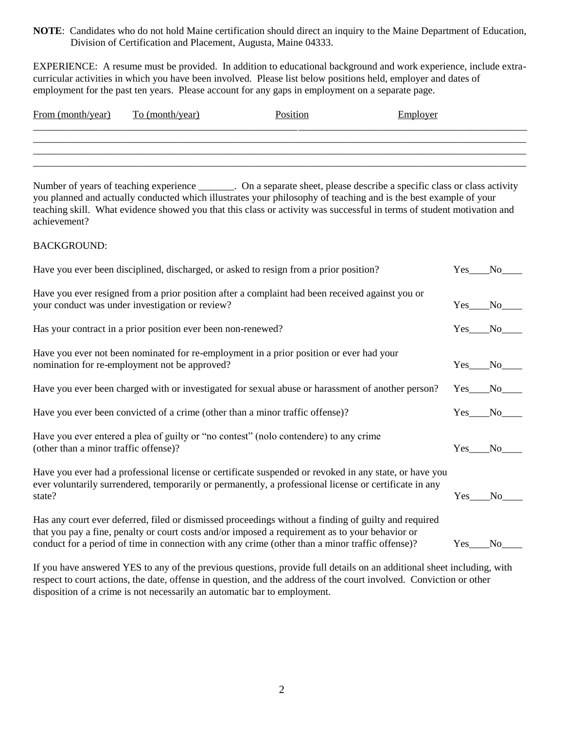**NOTE**: Candidates who do not hold Maine certification should direct an inquiry to the Maine Department of Education, Division of Certification and Placement, Augusta, Maine 04333.

EXPERIENCE: A resume must be provided. In addition to educational background and work experience, include extracurricular activities in which you have been involved. Please list below positions held, employer and dates of employment for the past ten years. Please account for any gaps in employment on a separate page.

| From (month/year) | To (month/year) | Position | Employer |  |
|-------------------|-----------------|----------|----------|--|
|                   |                 |          |          |  |
|                   |                 |          |          |  |
|                   |                 |          |          |  |

Number of years of teaching experience \_\_\_\_\_\_\_. On a separate sheet, please describe a specific class or class activity you planned and actually conducted which illustrates your philosophy of teaching and is the best example of your teaching skill. What evidence showed you that this class or activity was successful in terms of student motivation and achievement?

## BACKGROUND:

| Have you ever been disciplined, discharged, or asked to resign from a prior position?                                                                                                                                      | Yes.       | N <sub>0</sub> |
|----------------------------------------------------------------------------------------------------------------------------------------------------------------------------------------------------------------------------|------------|----------------|
| Have you ever resigned from a prior position after a complaint had been received against you or<br>your conduct was under investigation or review?                                                                         | Yes.       | No             |
| Has your contract in a prior position ever been non-renewed?                                                                                                                                                               | $Yes_$     | No             |
| Have you ever not been nominated for re-employment in a prior position or ever had your<br>nomination for re-employment not be approved?                                                                                   | Yes.       | No.            |
| Have you ever been charged with or investigated for sexual abuse or harassment of another person?                                                                                                                          | $Yes_{-}$  | No.            |
| Have you ever been convicted of a crime (other than a minor traffic offense)?                                                                                                                                              | Yes.       | N <sub>o</sub> |
| Have you ever entered a plea of guilty or "no contest" (not contendere) to any crime<br>(other than a minor traffic offense)?                                                                                              | Yes.       | N <sub>0</sub> |
| Have you ever had a professional license or certificate suspended or revoked in any state, or have you<br>ever voluntarily surrendered, temporarily or permanently, a professional license or certificate in any<br>state? | <b>Yes</b> | N <sub>0</sub> |
| Has any court ever deferred, filed or dismissed proceedings without a finding of guilty and required<br>that you pay a fine, penalty or court costs and/or imposed a requirement as to your behavior or                    |            |                |
| conduct for a period of time in connection with any crime (other than a minor traffic offense)?                                                                                                                            | <b>Yes</b> | N <sub>0</sub> |

If you have answered YES to any of the previous questions, provide full details on an additional sheet including, with respect to court actions, the date, offense in question, and the address of the court involved. Conviction or other disposition of a crime is not necessarily an automatic bar to employment.